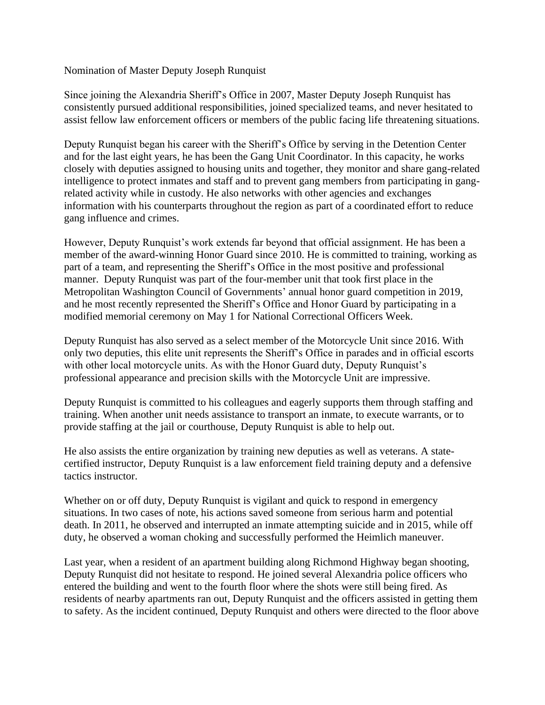## Nomination of Master Deputy Joseph Runquist

Since joining the Alexandria Sheriff's Office in 2007, Master Deputy Joseph Runquist has consistently pursued additional responsibilities, joined specialized teams, and never hesitated to assist fellow law enforcement officers or members of the public facing life threatening situations.

Deputy Runquist began his career with the Sheriff's Office by serving in the Detention Center and for the last eight years, he has been the Gang Unit Coordinator. In this capacity, he works closely with deputies assigned to housing units and together, they monitor and share gang-related intelligence to protect inmates and staff and to prevent gang members from participating in gangrelated activity while in custody. He also networks with other agencies and exchanges information with his counterparts throughout the region as part of a coordinated effort to reduce gang influence and crimes.

However, Deputy Runquist's work extends far beyond that official assignment. He has been a member of the award-winning Honor Guard since 2010. He is committed to training, working as part of a team, and representing the Sheriff's Office in the most positive and professional manner. Deputy Runquist was part of the four-member unit that took first place in the Metropolitan Washington Council of Governments' annual honor guard competition in 2019, and he most recently represented the Sheriff's Office and Honor Guard by participating in a modified memorial ceremony on May 1 for National Correctional Officers Week.

Deputy Runquist has also served as a select member of the Motorcycle Unit since 2016. With only two deputies, this elite unit represents the Sheriff's Office in parades and in official escorts with other local motorcycle units. As with the Honor Guard duty, Deputy Runquist's professional appearance and precision skills with the Motorcycle Unit are impressive.

Deputy Runquist is committed to his colleagues and eagerly supports them through staffing and training. When another unit needs assistance to transport an inmate, to execute warrants, or to provide staffing at the jail or courthouse, Deputy Runquist is able to help out.

He also assists the entire organization by training new deputies as well as veterans. A statecertified instructor, Deputy Runquist is a law enforcement field training deputy and a defensive tactics instructor.

Whether on or off duty, Deputy Runquist is vigilant and quick to respond in emergency situations. In two cases of note, his actions saved someone from serious harm and potential death. In 2011, he observed and interrupted an inmate attempting suicide and in 2015, while off duty, he observed a woman choking and successfully performed the Heimlich maneuver.

Last year, when a resident of an apartment building along Richmond Highway began shooting, Deputy Runquist did not hesitate to respond. He joined several Alexandria police officers who entered the building and went to the fourth floor where the shots were still being fired. As residents of nearby apartments ran out, Deputy Runquist and the officers assisted in getting them to safety. As the incident continued, Deputy Runquist and others were directed to the floor above